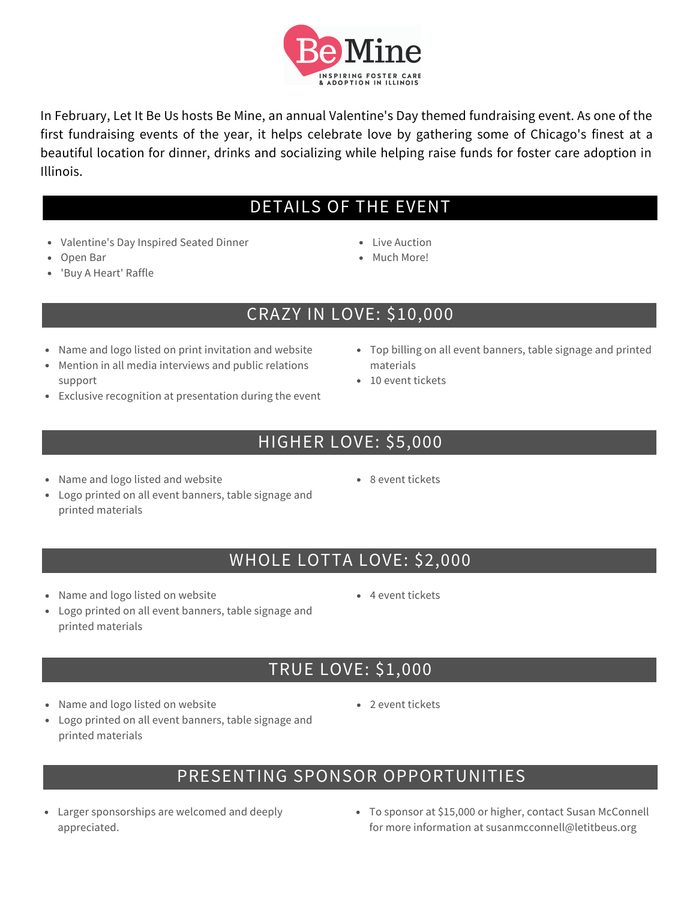

In February, Let It Be Us hosts Be Mine, an annual Valentine's Day themed fundraising event. As one of the first fundraising events of the year, it helps celebrate love by gathering some of Chicago's finest at a beautiful location for dinner, drinks and socializing while helping raise funds for foster care adoption in Illinois.  $\mathbb{R}^2$ 

#### DETAILS OF THE EVENT K

- Valentine's Day Inspired Seated Dinner
- Open Bar
- 'Buy A Heart' Raffle
- Live Auction
- Much More!

### CRAZY IN LOVE: \$10,000

- Name and logo listed on print invitation and website
- Mention in all media interviews and public relations support
- Exclusive recognition at presentation during the event
	- HIGHER LOVE: \$5,000
- Name and logo listed and website
- 8 event tickets
- Logo printed on all event banners, table signage and printed materials
	- WHOLE LOTTA LOVE: \$2,000
- Name and logo listed on website
- Logo printed on all event banners, table signage and printed materials
	- TRUE LOVE: \$1,000
- Name and logo listed on website
- Logo printed on all event banners, table signage and printed materials
	- PRESENTING SPONSOR OPPORTUNITIES
- Larger sponsorships are welcomed and deeply appreciated.
- To sponsor at \$15,000 or higher, contact Susan McConnell for more information at susanmcconnell@letitbeus.org

4 event tickets

• 2 event tickets

- Top billing on all event banners, table signage and printed materials
- 10 event tickets